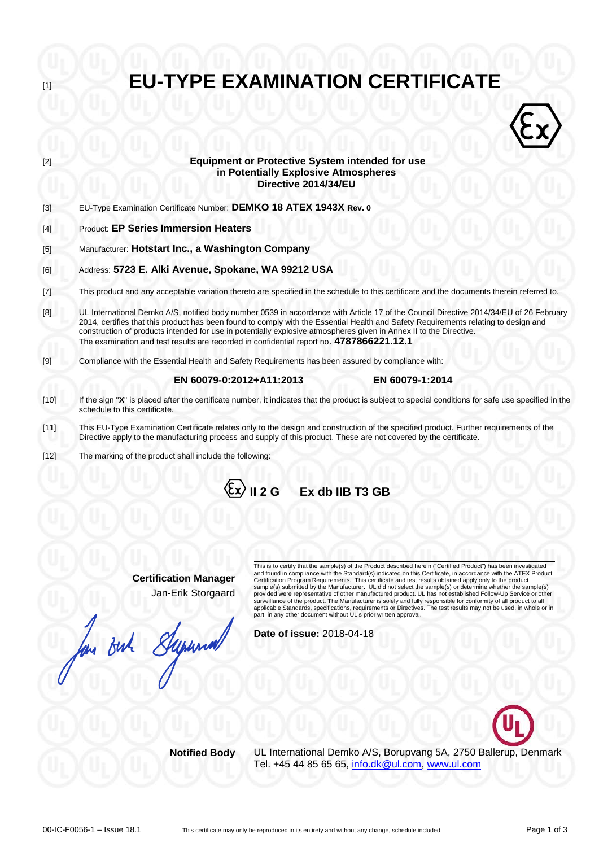**Equipment or Protective System intended for use**  $\langle \hat{\epsilon} \rangle$ **in Potentially Explosive Atmospheres Directive 2014/34/EU** [3] EU-Type Examination Certificate Number: **DEMKO 18 ATEX 1943X Rev. 0** [4] Product: **EP Series Immersion Heaters** [5] Manufacturer: **Hotstart Inc., a Washington Company** [6] Address: **5723 E. Alki Avenue, Spokane, WA 99212 USA** [7] This product and any acceptable variation thereto are specified in the schedule to this certificate and the documents therein referred to. [8] UL International Demko A/S, notified body number 0539 in accordance with Article 17 of the Council Directive 2014/34/EU of 26 February 2014, certifies that this product has been found to comply with the Essential Health and Safety Requirements relating to design and construction of products intended for use in potentially explosive atmospheres given in Annex II to the Directive. The examination and test results are recorded in confidential report no. **4787866221.12.1** [9] Compliance with the Essential Health and Safety Requirements has been assured by compliance with:  **EN 60079-0:2012+A11:2013 EN 60079-1:2014**  [10] If the sign "**X**" is placed after the certificate number, it indicates that the product is subject to special conditions for safe use specified in the schedule to this certificate. [11] This EU-Type Examination Certificate relates only to the design and construction of the specified product. Further requirements of the Directive apply to the manufacturing process and supply of this product. These are not covered by the certificate. [12] The marking of the product shall include the following:  $\langle \xi$ x $\rangle$  II 2 G Ex db IIB T3 GB

**EU-TYPE EXAMINATION CERTIFICATE** 

**Certification Manager** Jan-Erik Storgaard

long But Supernon

This is to certify that the sample(s) of the Product described herein ("Certified Product") has been investigated<br>and found in compliance with the Standard(s) indicated on this Certificate, in accordance with the ATEX Prod provided were representative of other manufactured product. UL has not established Follow-Up Service or other surveillance of the product. The Manufacturer is solely and fully responsible for conformity of all product to all applicable Standards, specifications, requirements or Directives. The test results may not be used, in whole or in part, in any other document without UL's prior written approval.

**Date of issue:** 2018-04-18



**Notified Body** UL International Demko A/S, Borupvang 5A, 2750 Ballerup, Denmark Tel. +45 44 85 65 65, [info.dk@ul.com,](mailto:info.dk@ul.com) [www.ul.com](http://www.ul.com/)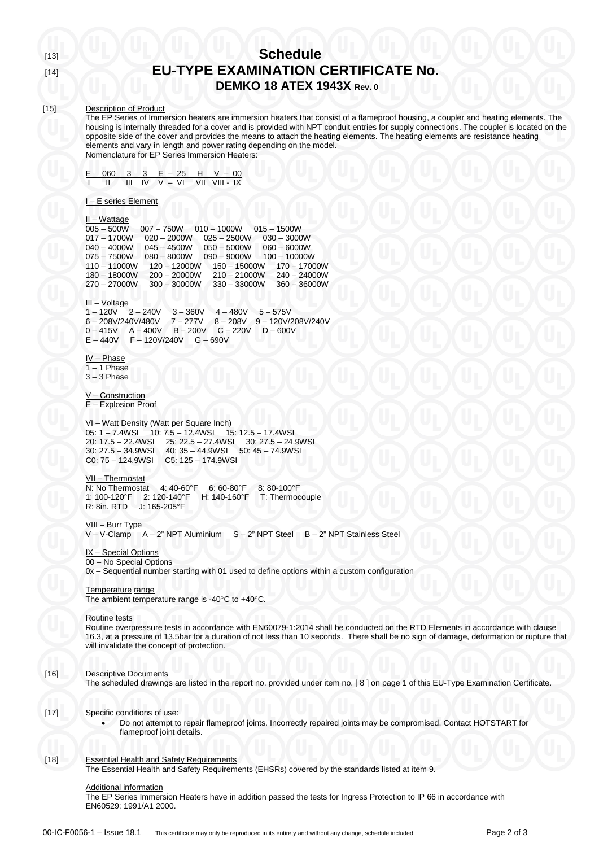#### [15] Description of Product

The EP Series of Immersion heaters are immersion heaters that consist of a flameproof housing, a coupler and heating elements. The housing is internally threaded for a cover and is provided with NPT conduit entries for supply connections. The coupler is located on the opposite side of the cover and provides the means to attach the heating elements. The heating elements are resistance heating elements and vary in length and power rating depending on the model. Nomenclature for EP Series Immersion Heaters:

|  |  | $E$ 060 3 3 $E - 25$ H V - 00 |  |  |
|--|--|-------------------------------|--|--|
|  |  |                               |  |  |

#### I – E series Element

#### II – Wattage

005 – 500W 007 – 750W 010 – 1000W 015 – 1500W 017 – 1700W 020 – 2000W 025 – 2500W 030 – 3000W 040 – 4000W 045 – 4500W 050 – 5000W 060 – 6000W 075 – 7500W 080 – 8000W 090 – 9000W 100 – 10000W 110 – 11000W 120 – 12000W 150 – 15000W 170 – 17000W 180 – 18000W 200 – 20000W 210 – 21000W 240 – 24000W 270 – 27000W 300 – 30000W 330 – 33000W 360 – 36000W

## III – Voltage

 $1 - 120V$   $2 - 240V$   $3 - 360V$   $4 - 480V$   $5 - 575V$ 6 – 208V/240V/480V 7 – 277V 8 – 208V 9 – 120V/208V/240V 0 – 415V A – 400V B – 200V C – 220V D – 600V E – 440V F – 120V/240V G – 690V

IV – Phase  $1 - 1$  Phase 3 – 3 Phase

V – Construction E – Explosion Proof

#### VI – Watt Density (Watt per Square Inch)

05: 1 – 7.4WSI 10: 7.5 – 12.4WSI 15: 12.5 – 17.4WSI 20: 17.5 – 22.4WSI 25: 22.5 – 27.4WSI 30: 27.5 – 24.9WSI 30: 27.5 – 34.9WSI 40: 35 – 44.9WSI 50: 45 – 74.9WSI C0: 75 – 124.9WSI C5: 125 – 174.9WSI

### VII – Thermostat

N: No Thermostat 4: 40-60°F 6: 60-80°F 8: 80-100°F H: 140-160°F T: Thermocouple R: 8in. RTD J: 165-205°F

# <u>VIII – Burr Type</u><br>V – V-Clamp – A – 2" NPT Aluminium

IX - Special Options

## 00 – No Special Options

0x – Sequential number starting with 01 used to define options within a custom configuration

#### Temperature range

The ambient temperature range is -40°C to +40°C.

#### Routine tests

Routine overpressure tests in accordance with EN60079-1:2014 shall be conducted on the RTD Elements in accordance with clause 16.3, at a pressure of 13.5bar for a duration of not less than 10 seconds. There shall be no sign of damage, deformation or rupture that will invalidate the concept of protection.

 $S - 2"$  NPT Steel  $B - 2"$  NPT Stainless Steel

#### [16] Descriptive Documents

The scheduled drawings are listed in the report no. provided under item no. [ 8 ] on page 1 of this EU-Type Examination Certificate.

#### [17] Specific conditions of use:

• Do not attempt to repair flameproof joints. Incorrectly repaired joints may be compromised. Contact HOTSTART for flameproof joint details.

#### [18] Essential Health and Safety Requirements

The Essential Health and Safety Requirements (EHSRs) covered by the standards listed at item 9.

#### Additional information

The EP Series Immersion Heaters have in addition passed the tests for Ingress Protection to IP 66 in accordance with EN60529: 1991/A1 2000.